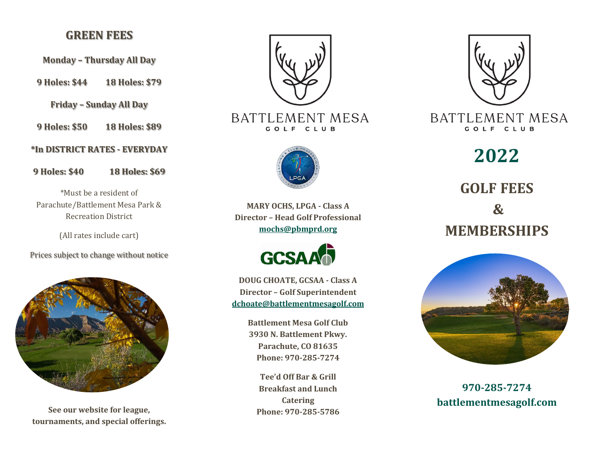## **GREEN FEES**

**Monday – Thursday All Day**

**9 Holes: \$44 18 Holes: \$79**

**Friday – Sunday All Day**

**9 Holes: \$50 18 Holes: \$89**

**\*In DISTRICT RATES - EVERYDAY**

**9 Holes: \$40 18 Holes: \$69**

\*Must be a resident of Parachute/Battlement Mesa Park & Recreation District

(All rates include cart)

Prices subject to change without notice



**See our website for league, tournaments, and special offerings.**



**BATTLEMENT MESA** GOLF CLUB



**MARY OCHS, LPGA - Class A Director – Head Golf Professional mochs@pbmprd.org**



**DOUG CHOATE, GCSAA - Class A Director – Golf Superintendent [dchoate@battlementmesagolf.com](mailto:dchoate@battlementmesagolf.com)**

> **Battlement Mesa Golf Club 3930 N. Battlement Pkwy. Parachute, CO 81635 Phone: 970-285-7274**

**Tee'd Off Bar & Grill Breakfast and Lunch Catering Phone: 970-285-5786**



**BATTLEMENT MESA** GOLF CLUB

**2022 GOLF FEES & MEMBERSHIPS**



**970-285-7274 battlementmesagolf.com**